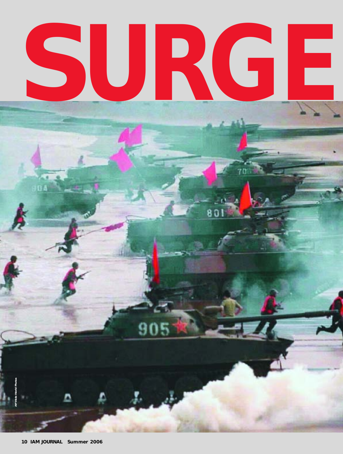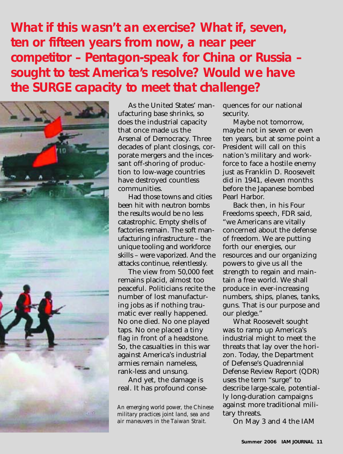# **EXECUTE: What if this wasn't an exercise? What if, seven, ten or fifteen years from now, a near peer competitor - Pentagon-speak for China or Russia<br>
<b>EXECUTE: SOUGHT AND SURGE CAPACITY TO MEET AND THE SURGE CAPACITY TO M** *ten or fifteen years from now, a near peer competitor – Pentagon-speak for China or Russia – sought to test America's resolve? Would we have the SURGE capacity to meet that challenge?*



As the United States' manufacturing base shrinks, so does the industrial capacity that once made us the Arsenal of Democracy. Three decades of plant closings, corporate mergers and the incessant off-shoring of production to low-wage countries have destroyed countless communities.

Had those towns and cities been hit with neutron bombs the results would be no less catastrophic. Empty shells of factories remain. The soft manufacturing infrastructure – the unique tooling and workforce skills – were vaporized. And the attacks continue, relentlessly.

The view from 50,000 feet remains placid, almost too peaceful. Politicians recite the number of lost manufacturing jobs as if nothing traumatic ever really happened. No one died. No one played taps. No one placed a tiny flag in front of a headstone. So, the casualties in this war against America's industrial armies remain nameless, rank-less and unsung.

And yet, the damage is real. It has profound conse-

*An emerging world power, the Chinese military practices joint land, sea and air maneuvers in the Taiwan Strait.*

quences for our national security.

Maybe not tomorrow, maybe not in seven or even ten years, but at some point a President will call on this nation's military and workforce to face a hostile enemy just as Franklin D. Roosevelt did in 1941, eleven months before the Japanese bombed Pearl Harbor.

Back then, in his Four Freedoms speech, FDR said, "we Americans are vitally concerned about the defense of freedom. We are putting forth our energies, our resources and our organizing powers to give us all the strength to regain and maintain a free world. We shall produce in ever-increasing numbers, ships, planes, tanks, guns. That is our purpose and our pledge."

What Roosevelt sought was to ramp up America's industrial might to meet the threats that lay over the horizon. Today, the Department of Defense's Quadrennial Defense Review Report (QDR) uses the term "surge" to describe large-scale, potentially long-duration campaigns against more traditional military threats.

On May 3 and 4 the IAM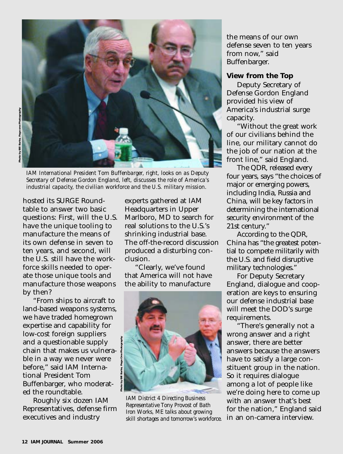

*IAM International President Tom Buffenbarger, right, looks on as Deputy Secretary of Defense Gordon England, left, discusses the role of America's industrial capacity, the civilian workforce and the U.S. military mission.*

hosted its SURGE Roundtable to answer two basic questions: First, will the U.S. have the unique tooling to manufacture the means of its own defense in seven to ten years, and second, will the U.S. still have the workforce skills needed to operate those unique tools and manufacture those weapons by then?

"From ships to aircraft to land-based weapons systems, we have traded homegrown expertise and capability for low-cost foreign suppliers and a questionable supply chain that makes us vulnerable in a way we never were before," said IAM International President Tom Buffenbarger, who moderated the roundtable.

Roughly six dozen IAM Representatives, defense firm executives and industry

experts gathered at IAM Headquarters in Upper Marlboro, MD to search for real solutions to the U.S.'s shrinking industrial base. The off-the-record discussion produced a disturbing conclusion.

"Clearly, we've found that America will not have the ability to manufacture



*IAM District 4 Directing Business Representative Tony Provost of Bath Iron Works, ME talks about growing skill shortages and tomorrow's workforce.*

the means of our own defense seven to ten years from now," said Buffenbarger.

#### **View from the Top**

Deputy Secretary of Defense Gordon England provided his view of America's industrial surge capacity.

"Without the great work of our civilians behind the line, our military cannot do the job of our nation at the front line," said England.

The QDR, released every four years, says "the choices of major or emerging powers, including India, Russia and China, will be key factors in determining the international security environment of the 21st century."

According to the QDR, China has "the greatest potential to compete militarily with the U.S. and field disruptive military technologies."

For Deputy Secretary England, dialogue and cooperation are keys to ensuring our defense industrial base will meet the DOD's surge requirements.

"There's generally not a wrong answer and a right answer, there are better answers because the answers have to satisfy a large constituent group in the nation. So it requires dialogue among a lot of people like we're doing here to come up with an answer that's best for the nation," England said in an on-camera interview.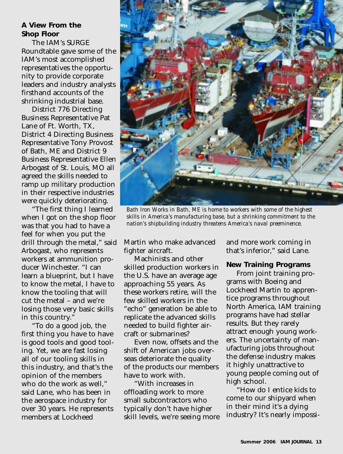## **A View From the Shop Floor**

The IAM's SURGE Roundtable gave some of the IAM's most accomplished representatives the opportunity to provide corporate leaders and industry analysts firsthand accounts of the shrinking industrial base.

District 776 Directing Business Representative Pat Lane of Ft. Worth, TX, District 4 Directing Business Representative Tony Provost of Bath, ME and District 9 Business Representative Ellen Arbogast of St. Louis, MO all agreed the skills needed to ramp up military production in their respective industries were quickly deteriorating.

"The first thing I learned when I got on the shop floor was that you had to have a feel for when you put the drill through the metal," said Arbogast, who represents workers at ammunition producer Winchester. "I can learn a blueprint, but I have to know the metal, I have to know the tooling that will cut the metal – and we're losing those very basic skills in this country."

"To do a good job, the first thing you have to have is good tools and good tooling. Yet, we are fast losing all of our tooling skills in this industry, and that's the opinion of the members who do the work as well," said Lane, who has been in the aerospace industry for over 30 years. He represents members at Lockheed



*Bath Iron Works in Bath, ME is home to workers with some of the highest skills in America's manufacturing base, but a shrinking commitment to the nation's shipbuilding industry threatens America's naval preeminence.*

Martin who make advanced fighter aircraft.

Machinists and other skilled production workers in the U.S. have an average age approaching 55 years. As these workers retire, will the few skilled workers in the "echo" generation be able to replicate the advanced skills needed to build fighter aircraft or submarines?

Even now, offsets and the shift of American jobs overseas deteriorate the quality of the products our members have to work with.

"With increases in offloading work to more small subcontractors who typically don't have higher skill levels, we're seeing more and more work coming in that's inferior," said Lane.

#### **New Training Programs**

From joint training programs with Boeing and Lockheed Martin to apprentice programs throughout North America, IAM training programs have had stellar results. But they rarely attract enough young workers. The uncertainty of manufacturing jobs throughout the defense industry makes it highly unattractive to young people coming out of high school.

"How do I entice kids to come to our shipyard when in their mind it's a dying industry? It's nearly impossi-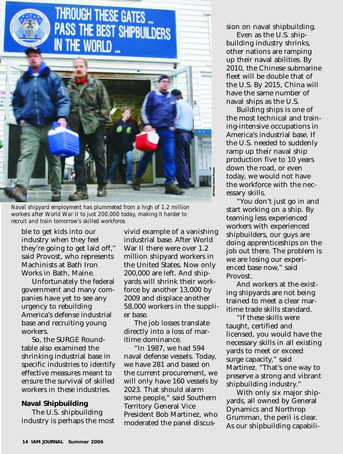

*Naval shipyard employment has plummeted from a high of 1.2 million workers after World War II to just 200,000 today, making it harder to recruit and train tomorrow's skilled workforce.*

ble to get kids into our industry when they feel they're going to get laid off," said Provost, who represents Machinists at Bath Iron Works in Bath, Maine.

Unfortunately the federal government and many companies have yet to see any urgency to rebuilding America's defense industrial base and recruiting young workers.

So, the SURGE Roundtable also examined the shrinking industrial base in specific industries to identify effective measures meant to ensure the survival of skilled workers in these industries.

#### **Naval Shipbuilding**

The U.S. shipbuilding industry is perhaps the most vivid example of a vanishing industrial base. After World War II there were over 1.2 million shipyard workers in the United States. Now only 200,000 are left. And shipyards will shrink their workforce by another 13,000 by 2009 and displace another 58,000 workers in the supplier base.

The job losses translate directly into a loss of maritime dominance.

"In 1987, we had 594 naval defense vessels. Today, we have 281 and based on the current procurement, we will only have 160 vessels by 2023. That should alarm some people," said Southern Territory General Vice President Bob Martinez, who moderated the panel discussion on naval shipbuilding.

Even as the U.S. shipbuilding industry shrinks, other nations are ramping up their naval abilities. By 2010, the Chinese submarine fleet will be double that of the U.S. By 2015, China will have the same number of naval ships as the U.S.

Building ships is one of the most technical and training-intensive occupations in America's industrial base. If the U.S. needed to suddenly ramp up their naval ship production five to 10 years down the road, or even today, we would not have the workforce with the necessary skills.

"You don't just go in and start working on a ship. By teaming less experienced workers with experienced shipbuilders, our guys are doing apprenticeships on the job out there. The problem is we are losing our experienced base now," said Provost.

And workers at the existing shipyards are not being trained to meet a clear maritime trade skills standard.

"If these skills were taught, certified and licensed, you would have the necessary skills in all existing yards to meet or exceed surge capacity," said Martinez. "That's one way to preserve a strong and vibrant shipbuilding industry."

With only six major shipyards, all owned by General Dynamics and Northrop Grumman, the peril is clear. As our shipbuilding capabili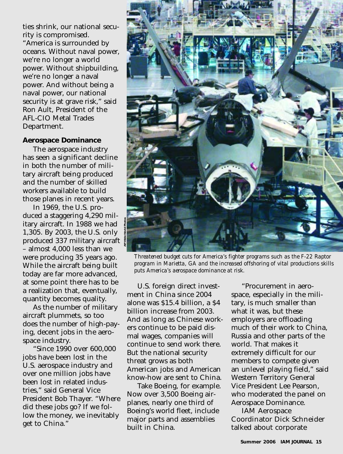ties shrink, our national security is compromised.

"America is surrounded by oceans. Without naval power, we're no longer a world power. Without shipbuilding, we're no longer a naval power. And without being a naval power, our national security is at grave risk," said Ron Ault, President of the AFL-CIO Metal Trades Department.

#### **Aerospace Dominance**

The aerospace industry has seen a significant decline in both the number of military aircraft being produced and the number of skilled workers available to build those planes in recent years.

In 1969, the U.S. produced a staggering 4,290 military aircraft. In 1988 we had 1,305. By 2003, the U.S. only produced 337 military aircraft – almost 4,000 less than we were producing 35 years ago. While the aircraft being built today are far more advanced, at some point there has to be a realization that, eventually, quantity becomes quality.

As the number of military aircraft plummets, so too does the number of high-paying, decent jobs in the aerospace industry.

"Since 1990 over 600,000 jobs have been lost in the U.S. aerospace industry and over one million jobs have been lost in related industries," said General Vice President Bob Thayer. "Where did these jobs go? If we follow the money, we inevitably get to China."



*Threatened budget cuts for America's fighter programs such as the F-22 Raptor program in Marietta, GA and the increased offshoring of vital productions skills puts America's aerospace dominance at risk.* 

U.S. foreign direct investment in China since 2004 alone was \$15.4 billion, a \$4 billion increase from 2003. And as long as Chinese workers continue to be paid dismal wages, companies will continue to send work there. But the national security threat grows as both American jobs and American know-how are sent to China.

Take Boeing, for example. Now over 3,500 Boeing airplanes, nearly one third of Boeing's world fleet, include major parts and assemblies built in China.

"Procurement in aerospace, especially in the military, is much smaller than what it was, but these employers are offloading much of their work to China, Russia and other parts of the world. That makes it extremely difficult for our members to compete given an unlevel playing field," said Western Territory General Vice President Lee Pearson, who moderated the panel on Aerospace Dominance.

IAM Aerospace Coordinator Dick Schneider talked about corporate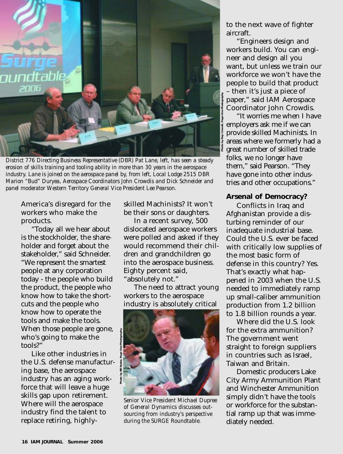

*District 776 Directing Business Representative (DBR) Pat Lane, left, has seen a steady erosion of skills training and tooling ability in more than 30 years in the aerospace industry. Lane is joined on the aerospace panel by, from left, Local Lodge 2515 DBR Marion "Bud" Duryea, Aerospace Coordinators John Crowdis and Dick Schneider and panel moderator Western Territory General Vice President Lee Pearson.*

America's disregard for the workers who make the products.

"Today all we hear about is the stockholder, the shareholder and forget about the stakeholder," said Schneider. "We represent the smartest people at any corporation today - the people who build the product, the people who know how to take the shortcuts and the people who know how to operate the tools and make the tools. When those people are gone, who's going to make the tools?"

Like other industries in the U.S. defense manufacturing base, the aerospace industry has an aging workforce that will leave a huge skills gap upon retirement. Where will the aerospace industry find the talent to replace retiring, highlyskilled Machinists? It won't be their sons or daughters.

In a recent survey, 500 dislocated aerospace workers were polled and asked if they would recommend their children and grandchildren go into the aerospace business. Eighty percent said, "absolutely not."

The need to attract young workers to the aerospace industry is absolutely critical



*Senior Vice President Michael Dupree of General Dynamics discusses outsourcing from industry's perspective during the SURGE Roundtable.*

to the next wave of fighter aircraft.

"Engineers design and workers build. You can engineer and design all you want, but unless we train our workforce we won't have the people to build that product – then it's just a piece of paper," said IAM Aerospace Coordinator John Crowdis.

"It worries me when I have employers ask me if we can provide skilled Machinists. In areas where we formerly had a great number of skilled trade folks, we no longer have them," said Pearson. "They have gone into other industries and other occupations."

#### **Arsenal of Democracy?**

Conflicts in Iraq and Afghanistan provide a disturbing reminder of our inadequate industrial base. Could the U.S. ever be faced with critically low supplies of the most basic form of defense in this country? Yes. That's exactly what happened in 2003 when the U.S. needed to immediately ramp up small-caliber ammunition production from 1.2 billion to 1.8 billion rounds a year.

Where did the U.S. look for the extra ammunition? The government went straight to foreign suppliers in countries such as Israel, Taiwan and Britain.

Domestic producers Lake City Army Ammunition Plant and Winchester Ammunition simply didn't have the tools or workforce for the substantial ramp up that was immediately needed.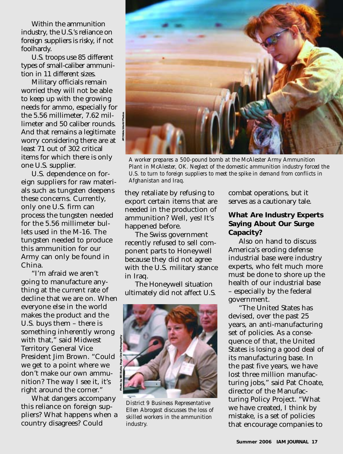Within the ammunition industry, the U.S.'s reliance on foreign suppliers is risky, if not foolhardy.

U.S. troops use 85 different types of small-caliber ammunition in 11 different sizes.

Military officials remain worried they will not be able to keep up with the growing needs for ammo, especially for the 5.56 millimeter, 7.62 millimeter and 50 caliber rounds. And that remains a legitimate worry considering there are at least 71 out of 302 critical items for which there is only one U.S. supplier.

U.S. dependence on foreign suppliers for raw materials such as tungsten deepens these concerns. Currently, only one U.S. firm can process the tungsten needed for the 5.56 millimeter bullets used in the M-16. The tungsten needed to produce this ammunition for our Army can only be found in China.

"I'm afraid we aren't going to manufacture anything at the current rate of decline that we are on. When everyone else in the world makes the product and the U.S. buys them – there is something inherently wrong with that," said Midwest Territory General Vice President Jim Brown. "Could we get to a point where we don't make our own ammunition? The way I see it, it's right around the corner."

What dangers accompany this reliance on foreign suppliers? What happens when a country disagrees? Could



*A worker prepares a 500-pound bomb at the McAlester Army Ammunition Plant in McAlester, OK. Neglect of the domestic ammunition industry forced the U.S. to turn to foreign suppliers to meet the spike in demand from conflicts in Afghanistan and Iraq.* 

they retaliate by refusing to export certain items that are needed in the production of ammunition? Well, yes! It's happened before.

The Swiss government recently refused to sell component parts to Honeywell because they did not agree with the U.S. military stance in Iraq.

The Honeywell situation ultimately did not affect U.S.



*District 9 Business Representative Ellen Abrogast discusses the loss of skilled workers in the ammunition industry.*

combat operations, but it serves as a cautionary tale.

## **What Are Industry Experts Saying About Our Surge Capacity?**

Also on hand to discuss America's eroding defense industrial base were industry experts, who felt much more must be done to shore up the health of our industrial base – especially by the federal government.

"The United States has devised, over the past 25 years, an anti-manufacturing set of policies. As a consequence of that, the United States is losing a good deal of its manufacturing base. In the past five years, we have lost three million manufacturing jobs," said Pat Choate, director of the Manufacturing Policy Project. "What we have created, I think by mistake, is a set of policies that encourage companies to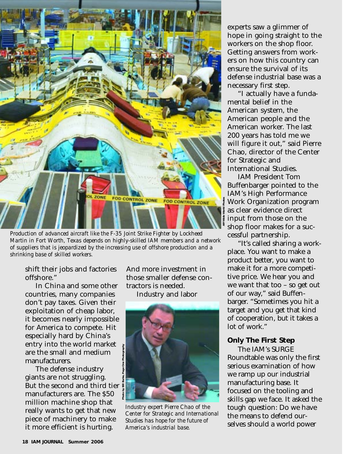

*Production of advanced aircraft like the F-35 Joint Strike Fighter by Lockheed Martin in Fort Worth, Texas depends on highly-skilled IAM members and a network of suppliers that is jeopardized by the increasing use of offshore production and a shrinking base of skilled workers.*

shift their jobs and factories offshore."

In China and some other countries, many companies don't pay taxes. Given their exploitation of cheap labor, it becomes nearly impossible for America to compete. Hit especially hard by China's entry into the world market are the small and medium manufacturers.

The defense industry giants are not struggling. But the second and third tier manufacturers are. The \$50 million machine shop that really wants to get that new piece of machinery to make it more efficient is hurting.

And more investment in those smaller defense contractors is needed.

Industry and labor



*Industry expert Pierre Chao of the Center for Strategic and International Studies has hope for the future of America's industrial base.*

experts saw a glimmer of hope in going straight to the workers on the shop floor. Getting answers from workers on how this country can ensure the survival of its defense industrial base was a necessary first step.

"I actually have a fundamental belief in the American system, the American people and the American worker. The last 200 years has told me we will figure it out," said Pierre Chao, director of the Center for Strategic and International Studies.

IAM President Tom Buffenbarger pointed to the IAM's High Performance Work Organization program as clear evidence direct input from those on the shop floor makes for a successful partnership.

"It's called sharing a workplace. You want to make a product better, you want to make it for a more competitive price. We hear you and we want that too – so get out of our way," said Buffenbarger. "Sometimes you hit a target and you get that kind of cooperation, but it takes a lot of work."

#### **Only The First Step**

The IAM's SURGE Roundtable was only the first serious examination of how we ramp up our industrial manufacturing base. It focused on the tooling and skills gap we face. It asked the tough question: Do we have the means to defend ourselves should a world power